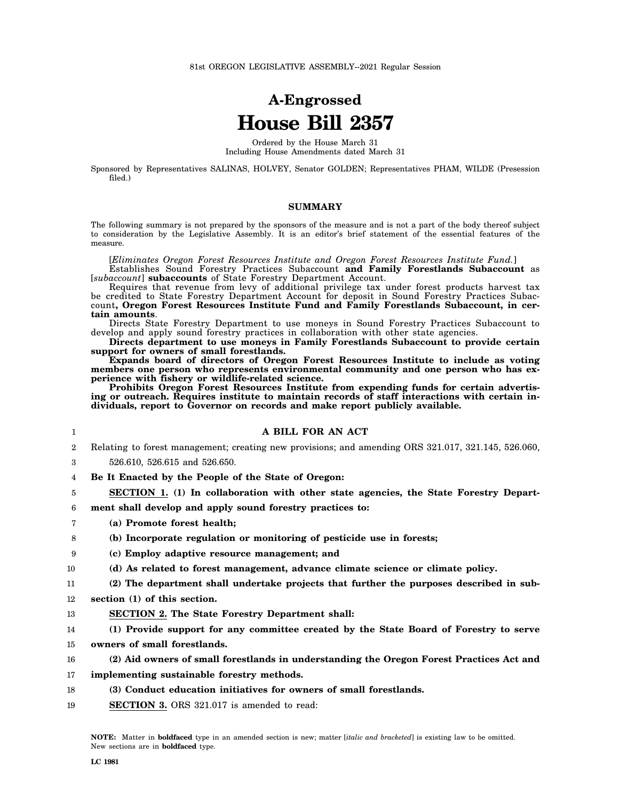# **A-Engrossed House Bill 2357**

Ordered by the House March 31 Including House Amendments dated March 31

Sponsored by Representatives SALINAS, HOLVEY, Senator GOLDEN; Representatives PHAM, WILDE (Presession filed.)

### **SUMMARY**

The following summary is not prepared by the sponsors of the measure and is not a part of the body thereof subject to consideration by the Legislative Assembly. It is an editor's brief statement of the essential features of the measure.

[*Eliminates Oregon Forest Resources Institute and Oregon Forest Resources Institute Fund.*]

Establishes Sound Forestry Practices Subaccount **and Family Forestlands Subaccount** as [*subaccount*] **subaccounts** of State Forestry Department Account.

Requires that revenue from levy of additional privilege tax under forest products harvest tax be credited to State Forestry Department Account for deposit in Sound Forestry Practices Subaccount**, Oregon Forest Resources Institute Fund and Family Forestlands Subaccount, in certain amounts**.

Directs State Forestry Department to use moneys in Sound Forestry Practices Subaccount to develop and apply sound forestry practices in collaboration with other state agencies.

**Directs department to use moneys in Family Forestlands Subaccount to provide certain support for owners of small forestlands.**

**Expands board of directors of Oregon Forest Resources Institute to include as voting members one person who represents environmental community and one person who has experience with fishery or wildlife-related science.**

**Prohibits Oregon Forest Resources Institute from expending funds for certain advertising or outreach. Requires institute to maintain records of staff interactions with certain individuals, report to Governor on records and make report publicly available.**

**A BILL FOR AN ACT**

| $\overline{2}$ | Relating to forest management; creating new provisions; and amending ORS 321.017, 321.145, 526.060, |
|----------------|-----------------------------------------------------------------------------------------------------|
| 3              | 526.610, 526.615 and 526.650.                                                                       |
| 4              | Be It Enacted by the People of the State of Oregon:                                                 |
| 5              | SECTION 1. (1) In collaboration with other state agencies, the State Forestry Depart-               |
| 6              | ment shall develop and apply sound forestry practices to:                                           |
| 7              | (a) Promote forest health;                                                                          |
| 8              | (b) Incorporate regulation or monitoring of pesticide use in forests;                               |
| 9              | (c) Employ adaptive resource management; and                                                        |
| 10             | (d) As related to forest management, advance climate science or climate policy.                     |
| 11             | (2) The department shall undertake projects that further the purposes described in sub-             |
| $12\,$         | section (1) of this section.                                                                        |
| 13             | <b>SECTION 2. The State Forestry Department shall:</b>                                              |
| 14             | (1) Provide support for any committee created by the State Board of Forestry to serve               |
| 15             | owners of small forestlands.                                                                        |
| 16             | (2) Aid owners of small forestlands in understanding the Oregon Forest Practices Act and            |
| 17             | implementing sustainable forestry methods.                                                          |

- 18 **(3) Conduct education initiatives for owners of small forestlands.**
- 19 **SECTION 3.** ORS 321.017 is amended to read:

1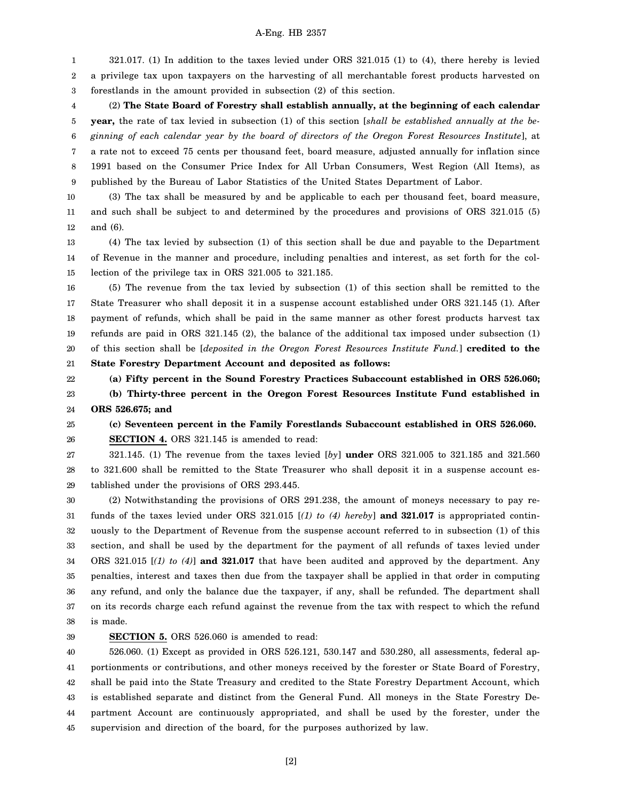1 2 3 321.017. (1) In addition to the taxes levied under ORS 321.015 (1) to (4), there hereby is levied a privilege tax upon taxpayers on the harvesting of all merchantable forest products harvested on forestlands in the amount provided in subsection (2) of this section.

4 5 6 7 8 9 (2) **The State Board of Forestry shall establish annually, at the beginning of each calendar year,** the rate of tax levied in subsection (1) of this section [*shall be established annually at the beginning of each calendar year by the board of directors of the Oregon Forest Resources Institute*], at a rate not to exceed 75 cents per thousand feet, board measure, adjusted annually for inflation since 1991 based on the Consumer Price Index for All Urban Consumers, West Region (All Items), as published by the Bureau of Labor Statistics of the United States Department of Labor.

10 11 12 (3) The tax shall be measured by and be applicable to each per thousand feet, board measure, and such shall be subject to and determined by the procedures and provisions of ORS 321.015 (5) and (6).

13 14 15 (4) The tax levied by subsection (1) of this section shall be due and payable to the Department of Revenue in the manner and procedure, including penalties and interest, as set forth for the collection of the privilege tax in ORS 321.005 to 321.185.

16 17 18 19 20 (5) The revenue from the tax levied by subsection (1) of this section shall be remitted to the State Treasurer who shall deposit it in a suspense account established under ORS 321.145 (1). After payment of refunds, which shall be paid in the same manner as other forest products harvest tax refunds are paid in ORS 321.145 (2), the balance of the additional tax imposed under subsection (1) of this section shall be [*deposited in the Oregon Forest Resources Institute Fund.*] **credited to the**

21 **State Forestry Department Account and deposited as follows:**

22 23 **(a) Fifty percent in the Sound Forestry Practices Subaccount established in ORS 526.060; (b) Thirty-three percent in the Oregon Forest Resources Institute Fund established in**

24 **ORS 526.675; and**

25 26 **(c) Seventeen percent in the Family Forestlands Subaccount established in ORS 526.060. SECTION 4.** ORS 321.145 is amended to read:

27 28 29 321.145. (1) The revenue from the taxes levied [*by*] **under** ORS 321.005 to 321.185 and 321.560 to 321.600 shall be remitted to the State Treasurer who shall deposit it in a suspense account established under the provisions of ORS 293.445.

30 31 32 33 34 35 36 37 38 (2) Notwithstanding the provisions of ORS 291.238, the amount of moneys necessary to pay refunds of the taxes levied under ORS 321.015 [*(1) to (4) hereby*] **and 321.017** is appropriated continuously to the Department of Revenue from the suspense account referred to in subsection (1) of this section, and shall be used by the department for the payment of all refunds of taxes levied under ORS 321.015 [*(1) to (4)*] **and 321.017** that have been audited and approved by the department. Any penalties, interest and taxes then due from the taxpayer shall be applied in that order in computing any refund, and only the balance due the taxpayer, if any, shall be refunded. The department shall on its records charge each refund against the revenue from the tax with respect to which the refund is made.

39

#### **SECTION 5.** ORS 526.060 is amended to read:

40 41 42 43 44 45 526.060. (1) Except as provided in ORS 526.121, 530.147 and 530.280, all assessments, federal apportionments or contributions, and other moneys received by the forester or State Board of Forestry, shall be paid into the State Treasury and credited to the State Forestry Department Account, which is established separate and distinct from the General Fund. All moneys in the State Forestry Department Account are continuously appropriated, and shall be used by the forester, under the supervision and direction of the board, for the purposes authorized by law.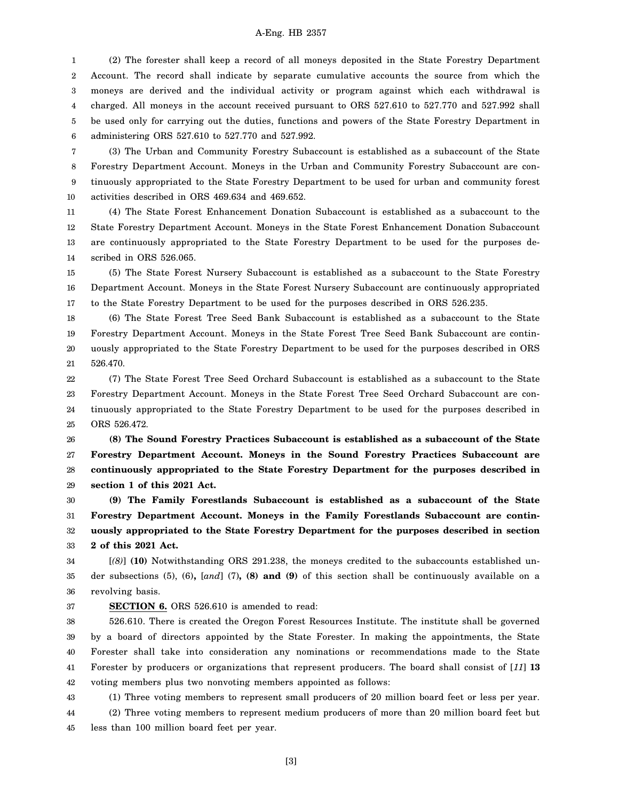1 2 3 4 5 6 (2) The forester shall keep a record of all moneys deposited in the State Forestry Department Account. The record shall indicate by separate cumulative accounts the source from which the moneys are derived and the individual activity or program against which each withdrawal is charged. All moneys in the account received pursuant to ORS 527.610 to 527.770 and 527.992 shall be used only for carrying out the duties, functions and powers of the State Forestry Department in administering ORS 527.610 to 527.770 and 527.992.

7 8 9 10 (3) The Urban and Community Forestry Subaccount is established as a subaccount of the State Forestry Department Account. Moneys in the Urban and Community Forestry Subaccount are continuously appropriated to the State Forestry Department to be used for urban and community forest activities described in ORS 469.634 and 469.652.

11 12 13 14 (4) The State Forest Enhancement Donation Subaccount is established as a subaccount to the State Forestry Department Account. Moneys in the State Forest Enhancement Donation Subaccount are continuously appropriated to the State Forestry Department to be used for the purposes described in ORS 526.065.

15 16 17 (5) The State Forest Nursery Subaccount is established as a subaccount to the State Forestry Department Account. Moneys in the State Forest Nursery Subaccount are continuously appropriated to the State Forestry Department to be used for the purposes described in ORS 526.235.

18 19 20 21 (6) The State Forest Tree Seed Bank Subaccount is established as a subaccount to the State Forestry Department Account. Moneys in the State Forest Tree Seed Bank Subaccount are continuously appropriated to the State Forestry Department to be used for the purposes described in ORS 526.470.

22 23 24 25 (7) The State Forest Tree Seed Orchard Subaccount is established as a subaccount to the State Forestry Department Account. Moneys in the State Forest Tree Seed Orchard Subaccount are continuously appropriated to the State Forestry Department to be used for the purposes described in ORS 526.472.

26 27 28 29 **(8) The Sound Forestry Practices Subaccount is established as a subaccount of the State Forestry Department Account. Moneys in the Sound Forestry Practices Subaccount are continuously appropriated to the State Forestry Department for the purposes described in section 1 of this 2021 Act.**

30 31 32 33 **(9) The Family Forestlands Subaccount is established as a subaccount of the State Forestry Department Account. Moneys in the Family Forestlands Subaccount are continuously appropriated to the State Forestry Department for the purposes described in section 2 of this 2021 Act.**

34 35 36 [*(8)*] **(10)** Notwithstanding ORS 291.238, the moneys credited to the subaccounts established under subsections (5), (6)**,** [*and*] (7)**, (8) and (9)** of this section shall be continuously available on a revolving basis.

#### 37 **SECTION 6.** ORS 526.610 is amended to read:

38 39 40 41 42 526.610. There is created the Oregon Forest Resources Institute. The institute shall be governed by a board of directors appointed by the State Forester. In making the appointments, the State Forester shall take into consideration any nominations or recommendations made to the State Forester by producers or organizations that represent producers. The board shall consist of [*11*] **13** voting members plus two nonvoting members appointed as follows:

43 44 45 (1) Three voting members to represent small producers of 20 million board feet or less per year. (2) Three voting members to represent medium producers of more than 20 million board feet but less than 100 million board feet per year.

[3]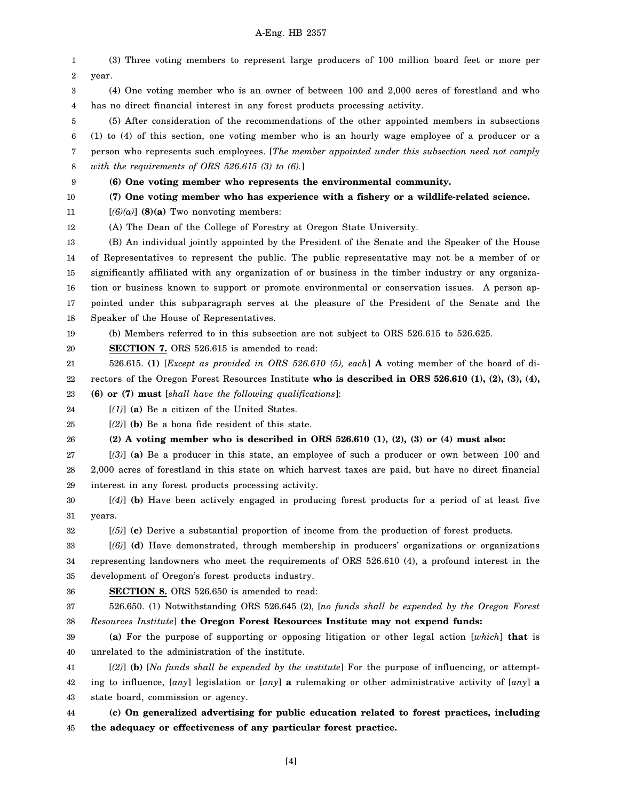1 2 3 4 5 6 7 8 9 10 11 12 13 14 15 16 17 18 19 20 21 22 23 24 25 26 27 28 29 30 31 32 33 34 35 36 37 38 39 40 41 42 43 44 (3) Three voting members to represent large producers of 100 million board feet or more per year. (4) One voting member who is an owner of between 100 and 2,000 acres of forestland and who has no direct financial interest in any forest products processing activity. (5) After consideration of the recommendations of the other appointed members in subsections (1) to (4) of this section, one voting member who is an hourly wage employee of a producer or a person who represents such employees. [*The member appointed under this subsection need not comply with the requirements of ORS 526.615 (3) to (6).*] **(6) One voting member who represents the environmental community. (7) One voting member who has experience with a fishery or a wildlife-related science.**  $[(6)(a)]$  (8)(a) Two nonvoting members: (A) The Dean of the College of Forestry at Oregon State University. (B) An individual jointly appointed by the President of the Senate and the Speaker of the House of Representatives to represent the public. The public representative may not be a member of or significantly affiliated with any organization of or business in the timber industry or any organization or business known to support or promote environmental or conservation issues. A person appointed under this subparagraph serves at the pleasure of the President of the Senate and the Speaker of the House of Representatives. (b) Members referred to in this subsection are not subject to ORS 526.615 to 526.625. **SECTION 7.** ORS 526.615 is amended to read: 526.615. **(1)** [*Except as provided in ORS 526.610 (5), each*] **A** voting member of the board of directors of the Oregon Forest Resources Institute **who is described in ORS 526.610 (1), (2), (3), (4), (6) or (7) must** [*shall have the following qualifications*]: [*(1)*] **(a)** Be a citizen of the United States. [*(2)*] **(b)** Be a bona fide resident of this state. **(2) A voting member who is described in ORS 526.610 (1), (2), (3) or (4) must also:** [*(3)*] **(a)** Be a producer in this state, an employee of such a producer or own between 100 and 2,000 acres of forestland in this state on which harvest taxes are paid, but have no direct financial interest in any forest products processing activity. [*(4)*] **(b)** Have been actively engaged in producing forest products for a period of at least five years. [*(5)*] **(c)** Derive a substantial proportion of income from the production of forest products. [*(6)*] **(d)** Have demonstrated, through membership in producers' organizations or organizations representing landowners who meet the requirements of ORS 526.610 (4), a profound interest in the development of Oregon's forest products industry. **SECTION 8.** ORS 526.650 is amended to read: 526.650. (1) Notwithstanding ORS 526.645 (2), [*no funds shall be expended by the Oregon Forest Resources Institute*] **the Oregon Forest Resources Institute may not expend funds: (a)** For the purpose of supporting or opposing litigation or other legal action [*which*] **that** is unrelated to the administration of the institute. [*(2)*] **(b)** [*No funds shall be expended by the institute*] For the purpose of influencing, or attempting to influence, [*any*] legislation or [*any*] **a** rulemaking or other administrative activity of [*any*] **a** state board, commission or agency. **(c) On generalized advertising for public education related to forest practices, including**

45 **the adequacy or effectiveness of any particular forest practice.**